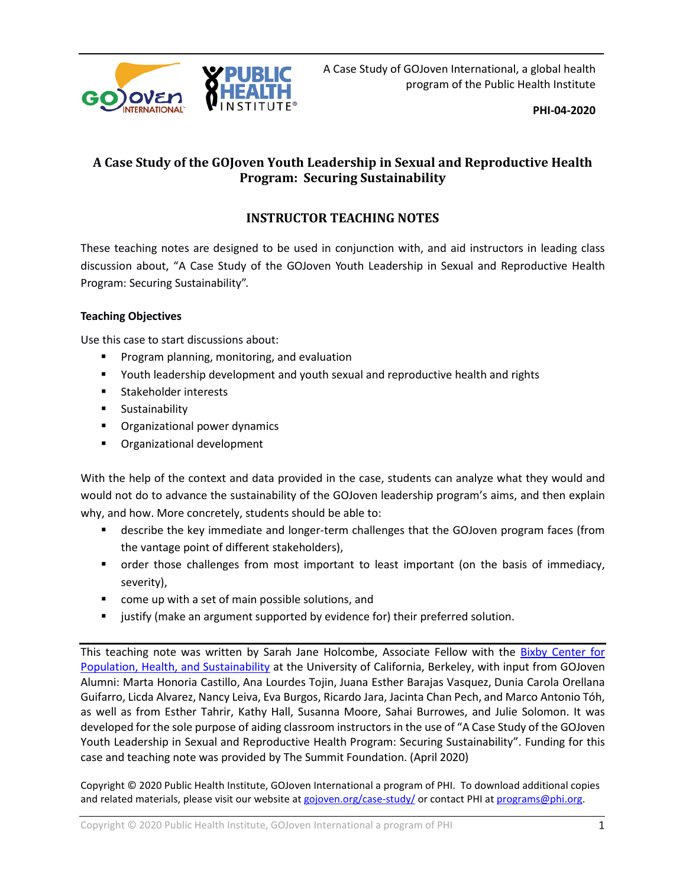

A Case Study of GOJoven International, a global health program of the Public Health Institute

**PHI-04-2020**

# **A Case Study of the GOJoven Youth Leadership in Sexual and Reproductive Health Program: Securing Sustainability**

# **INSTRUCTOR TEACHING NOTES**

These teaching notes are designed to be used in conjunction with, and aid instructors in leading class discussion about, "A Case Study of the GOJoven Youth Leadership in Sexual and Reproductive Health Program: Securing Sustainability".

## **Teaching Objectives**

Use this case to start discussions about:

- **Program planning, monitoring, and evaluation**
- Youth leadership development and youth sexual and reproductive health and rights
- **Stakeholder interests**
- **Sustainability**
- **•** Organizational power dynamics
- **•** Organizational development

With the help of the context and data provided in the case, students can analyze what they would and would not do to advance the sustainability of the GOJoven leadership program's aims, and then explain why, and how. More concretely, students should be able to:

- **EX** describe the key immediate and longer-term challenges that the GOJoven program faces (from the vantage point of different stakeholders),
- **•** order those challenges from most important to least important (on the basis of immediacy, severity),
- **Come up with a set of main possible solutions, and**
- justify (make an argument supported by evidence for) their preferred solution.

This teaching note was written by Sarah Jane Holcombe, Associate Fellow with the Bixby Center for [Population, Health, and Sustainability](https://bixby.berkeley.edu/) at the University of California, Berkeley, with input from GOJoven Alumni: Marta Honoria Castillo, Ana Lourdes Tojin, Juana Esther Barajas Vasquez, Dunia Carola Orellana Guifarro, Licda Alvarez, Nancy Leiva, Eva Burgos, Ricardo Jara, Jacinta Chan Pech, and Marco Antonio Tóh, as well as from Esther Tahrir, Kathy Hall, Susanna Moore, Sahai Burrowes, and Julie Solomon. It was developed for the sole purpose of aiding classroom instructors in the use of "A Case Study of the GOJoven Youth Leadership in Sexual and Reproductive Health Program: Securing Sustainability". Funding for this case and teaching note was provided by The Summit Foundation. (April 2020)

Copyright © 2020 Public Health Institute, GOJoven International a program of PHI. To download additional copies and related materials, please visit our website at [gojoven.org/case-study/](https://gojoven.org/case-study/) or contact PHI a[t programs@phi.org.](mailto:programs@phi.org)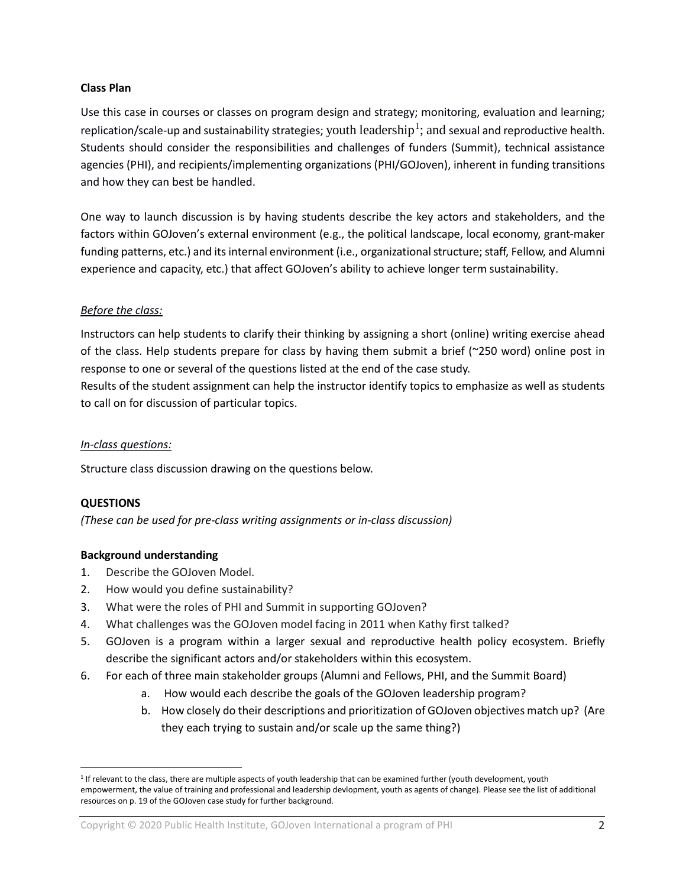#### **Class Plan**

Use this case in courses or classes on program design and strategy; monitoring, evaluation and learning; replication/scale-up and sustainability strategies; youth  $\rm leadership^1;$  $\rm leadership^1;$  $\rm leadership^1;$  and sexual and reproductive health. Students should consider the responsibilities and challenges of funders (Summit), technical assistance agencies (PHI), and recipients/implementing organizations (PHI/GOJoven), inherent in funding transitions and how they can best be handled.

One way to launch discussion is by having students describe the key actors and stakeholders, and the factors within GOJoven's external environment (e.g., the political landscape, local economy, grant-maker funding patterns, etc.) and its internal environment (i.e., organizational structure; staff, Fellow, and Alumni experience and capacity, etc.) that affect GOJoven's ability to achieve longer term sustainability.

#### *Before the class:*

Instructors can help students to clarify their thinking by assigning a short (online) writing exercise ahead of the class. Help students prepare for class by having them submit a brief (~250 word) online post in response to one or several of the questions listed at the end of the case study.

Results of the student assignment can help the instructor identify topics to emphasize as well as students to call on for discussion of particular topics.

#### *In-class questions:*

Structure class discussion drawing on the questions below.

#### **QUESTIONS**

 $\overline{a}$ 

*(These can be used for pre-class writing assignments or in-class discussion)*

#### **Background understanding**

- 1. Describe the GOJoven Model.
- 2. How would you define sustainability?
- 3. What were the roles of PHI and Summit in supporting GOJoven?
- 4. What challenges was the GOJoven model facing in 2011 when Kathy first talked?
- 5. GOJoven is a program within a larger sexual and reproductive health policy ecosystem. Briefly describe the significant actors and/or stakeholders within this ecosystem.
- 6. For each of three main stakeholder groups (Alumni and Fellows, PHI, and the Summit Board)
	- a. How would each describe the goals of the GOJoven leadership program?
	- b. How closely do their descriptions and prioritization of GOJoven objectives match up? (Are they each trying to sustain and/or scale up the same thing?)

<span id="page-1-0"></span><sup>&</sup>lt;sup>1</sup> If relevant to the class, there are multiple aspects of youth leadership that can be examined further (youth development, youth empowerment, the value of training and professional and leadership devlopment, youth as agents of change). Please see the list of additional resources on p. 19 of the GOJoven case study for further background.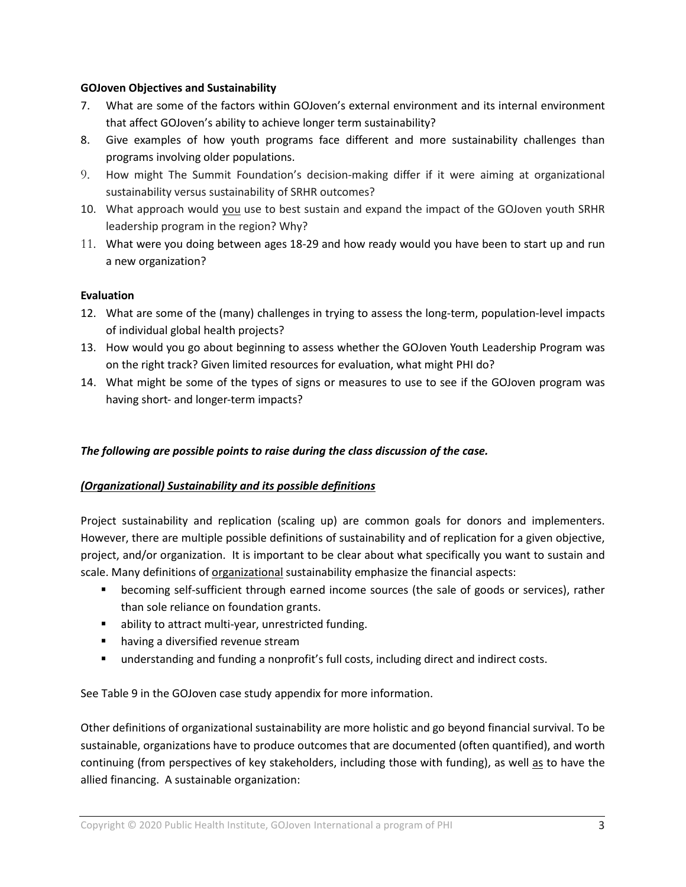## **GOJoven Objectives and Sustainability**

- 7. What are some of the factors within GOJoven's external environment and its internal environment that affect GOJoven's ability to achieve longer term sustainability?
- 8. Give examples of how youth programs face different and more sustainability challenges than programs involving older populations.
- 9. How might The Summit Foundation's decision-making differ if it were aiming at organizational sustainability versus sustainability of SRHR outcomes?
- 10. What approach would you use to best sustain and expand the impact of the GOJoven youth SRHR leadership program in the region? Why?
- 11. What were you doing between ages 18-29 and how ready would you have been to start up and run a new organization?

## **Evaluation**

- 12. What are some of the (many) challenges in trying to assess the long-term, population-level impacts of individual global health projects?
- 13. How would you go about beginning to assess whether the GOJoven Youth Leadership Program was on the right track? Given limited resources for evaluation, what might PHI do?
- 14. What might be some of the types of signs or measures to use to see if the GOJoven program was having short- and longer-term impacts?

# *The following are possible points to raise during the class discussion of the case.*

# *(Organizational) Sustainability and its possible definitions*

Project sustainability and replication (scaling up) are common goals for donors and implementers. However, there are multiple possible definitions of sustainability and of replication for a given objective, project, and/or organization. It is important to be clear about what specifically you want to sustain and scale. Many definitions of organizational sustainability emphasize the financial aspects:

- becoming self-sufficient through earned income sources (the sale of goods or services), rather than sole reliance on foundation grants.
- **•** ability to attract multi-year, unrestricted funding.
- **•** having a diversified revenue stream
- understanding and funding a nonprofit's full [costs,](http://fullcostproject.org/) including direct and indirect costs.

See Table 9 in the GOJoven case study appendix for more information.

Other definitions of organizational sustainability are more holistic and go beyond financial survival. To be sustainable, organizations have to produce outcomes that are documented (often quantified), and worth continuing (from perspectives of key stakeholders, including those with funding), as well as to have the allied financing. A sustainable organization: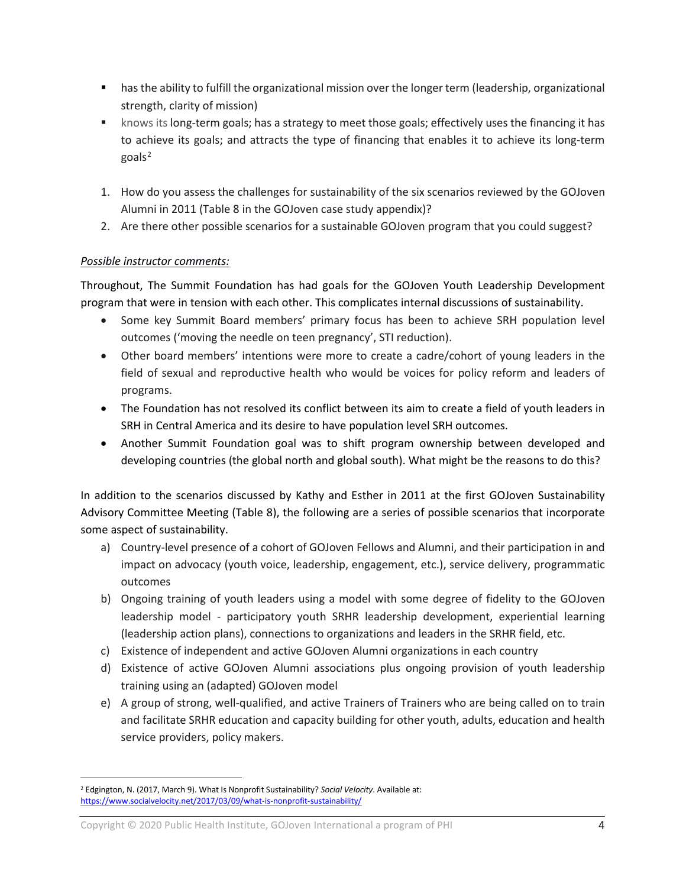- has the ability to fulfill the organizational mission over the longer term (leadership, organizational strength, clarity of mission)
- **EXED** knows its long-term goals; has a strategy to meet those goals; effectively uses the financing it has to achieve its goals; and attracts the type of financing that enables it to achieve its long-term goals $2$
- 1. How do you assess the challenges for sustainability of the six scenarios reviewed by the GOJoven Alumni in 2011 (Table 8 in the GOJoven case study appendix)?
- 2. Are there other possible scenarios for a sustainable GOJoven program that you could suggest?

# *Possible instructor comments:*

Throughout, The Summit Foundation has had goals for the GOJoven Youth Leadership Development program that were in tension with each other. This complicates internal discussions of sustainability.

- Some key Summit Board members' primary focus has been to achieve SRH population level outcomes ('moving the needle on teen pregnancy', STI reduction).
- Other board members' intentions were more to create a cadre/cohort of young leaders in the field of sexual and reproductive health who would be voices for policy reform and leaders of programs.
- The Foundation has not resolved its conflict between its aim to create a field of youth leaders in SRH in Central America and its desire to have population level SRH outcomes.
- Another Summit Foundation goal was to shift program ownership between developed and developing countries (the global north and global south). What might be the reasons to do this?

In addition to the scenarios discussed by Kathy and Esther in 2011 at the first GOJoven Sustainability Advisory Committee Meeting (Table 8), the following are a series of possible scenarios that incorporate some aspect of sustainability.

- a) Country-level presence of a cohort of GOJoven Fellows and Alumni, and their participation in and impact on advocacy (youth voice, leadership, engagement, etc.), service delivery, programmatic outcomes
- b) Ongoing training of youth leaders using a model with some degree of fidelity to the GOJoven leadership model - participatory youth SRHR leadership development, experiential learning (leadership action plans), connections to organizations and leaders in the SRHR field, etc.
- c) Existence of independent and active GOJoven Alumni organizations in each country
- d) Existence of active GOJoven Alumni associations plus ongoing provision of youth leadership training using an (adapted) GOJoven model
- e) A group of strong, well-qualified, and active Trainers of Trainers who are being called on to train and facilitate SRHR education and capacity building for other youth, adults, education and health service providers, policy makers.

<span id="page-3-0"></span> $\overline{a}$ <sup>2</sup> Edgington, N. (2017, March 9). What Is Nonprofit Sustainability? *Social Velocity*. Available at: <https://www.socialvelocity.net/2017/03/09/what-is-nonprofit-sustainability/>

Copyright © 2020 Public Health Institute, GOJoven International a program of PHI 4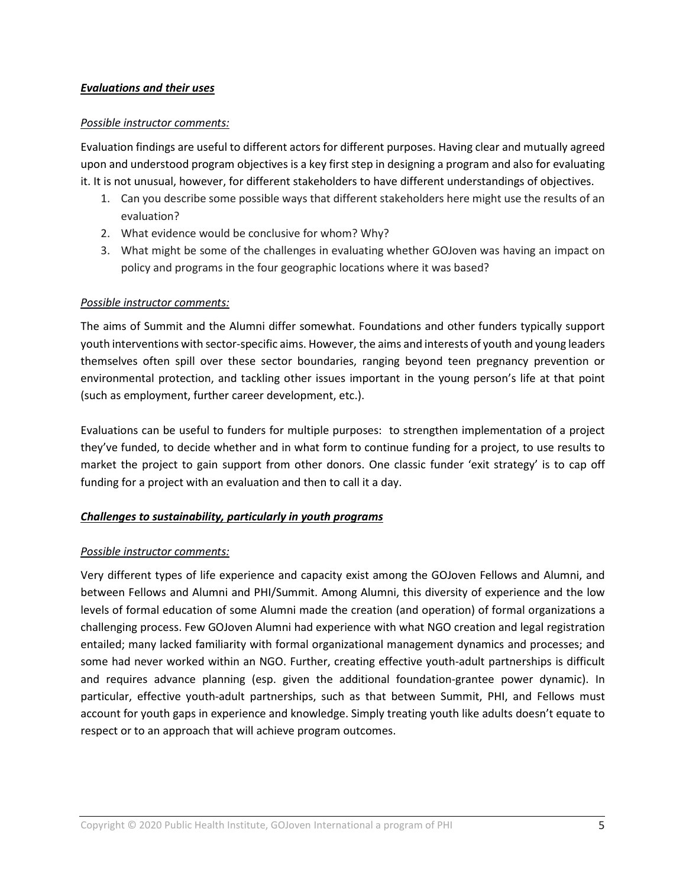### *Evaluations and their uses*

## *Possible instructor comments:*

Evaluation findings are useful to different actors for different purposes. Having clear and mutually agreed upon and understood program objectives is a key first step in designing a program and also for evaluating it. It is not unusual, however, for different stakeholders to have different understandings of objectives.

- 1. Can you describe some possible ways that different stakeholders here might use the results of an evaluation?
- 2. What evidence would be conclusive for whom? Why?
- 3. What might be some of the challenges in evaluating whether GOJoven was having an impact on policy and programs in the four geographic locations where it was based?

#### *Possible instructor comments:*

The aims of Summit and the Alumni differ somewhat. Foundations and other funders typically support youth interventions with sector-specific aims. However, the aims and interests of youth and young leaders themselves often spill over these sector boundaries, ranging beyond teen pregnancy prevention or environmental protection, and tackling other issues important in the young person's life at that point (such as employment, further career development, etc.).

Evaluations can be useful to funders for multiple purposes: to strengthen implementation of a project they've funded, to decide whether and in what form to continue funding for a project, to use results to market the project to gain support from other donors. One classic funder 'exit strategy' is to cap off funding for a project with an evaluation and then to call it a day.

# *Challenges to sustainability, particularly in youth programs*

# *Possible instructor comments:*

Very different types of life experience and capacity exist among the GOJoven Fellows and Alumni, and between Fellows and Alumni and PHI/Summit. Among Alumni, this diversity of experience and the low levels of formal education of some Alumni made the creation (and operation) of formal organizations a challenging process. Few GOJoven Alumni had experience with what NGO creation and legal registration entailed; many lacked familiarity with formal organizational management dynamics and processes; and some had never worked within an NGO. Further, creating effective youth-adult partnerships is difficult and requires advance planning (esp. given the additional foundation-grantee power dynamic). In particular, effective youth-adult partnerships, such as that between Summit, PHI, and Fellows must account for youth gaps in experience and knowledge. Simply treating youth like adults doesn't equate to respect or to an approach that will achieve program outcomes.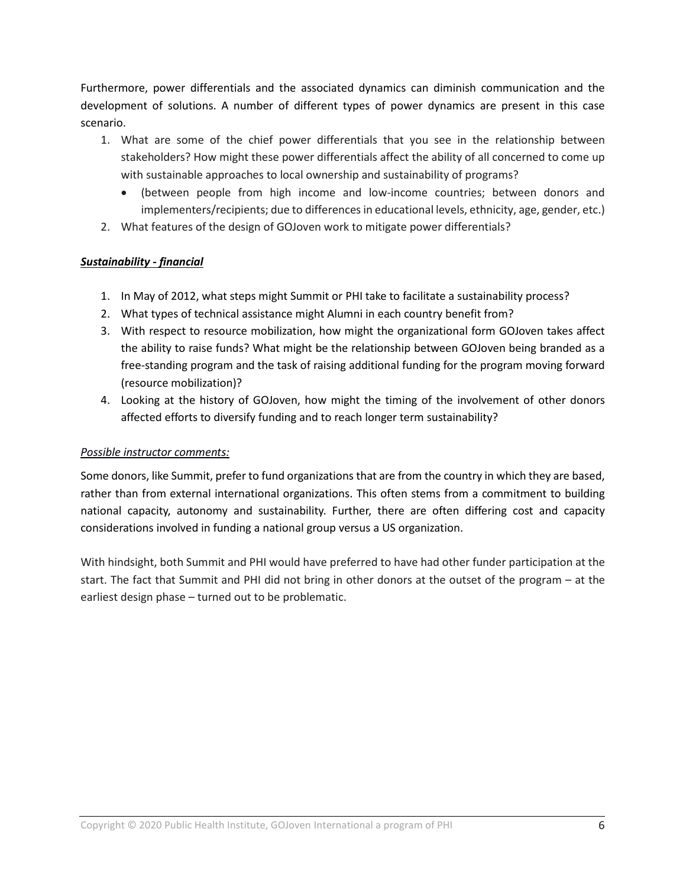Furthermore, power differentials and the associated dynamics can diminish communication and the development of solutions. A number of different types of power dynamics are present in this case scenario.

- 1. What are some of the chief power differentials that you see in the relationship between stakeholders? How might these power differentials affect the ability of all concerned to come up with sustainable approaches to local ownership and sustainability of programs?
	- (between people from high income and low-income countries; between donors and implementers/recipients; due to differences in educational levels, ethnicity, age, gender, etc.)
- 2. What features of the design of GOJoven work to mitigate power differentials?

# *Sustainability - financial*

- 1. In May of 2012, what steps might Summit or PHI take to facilitate a sustainability process?
- 2. What types of technical assistance might Alumni in each country benefit from?
- 3. With respect to resource mobilization, how might the organizational form GOJoven takes affect the ability to raise funds? What might be the relationship between GOJoven being branded as a free-standing program and the task of raising additional funding for the program moving forward (resource mobilization)?
- 4. Looking at the history of GOJoven, how might the timing of the involvement of other donors affected efforts to diversify funding and to reach longer term sustainability?

# *Possible instructor comments:*

Some donors, like Summit, prefer to fund organizations that are from the country in which they are based, rather than from external international organizations. This often stems from a commitment to building national capacity, autonomy and sustainability. Further, there are often differing cost and capacity considerations involved in funding a national group versus a US organization.

With hindsight, both Summit and PHI would have preferred to have had other funder participation at the start. The fact that Summit and PHI did not bring in other donors at the outset of the program – at the earliest design phase – turned out to be problematic.